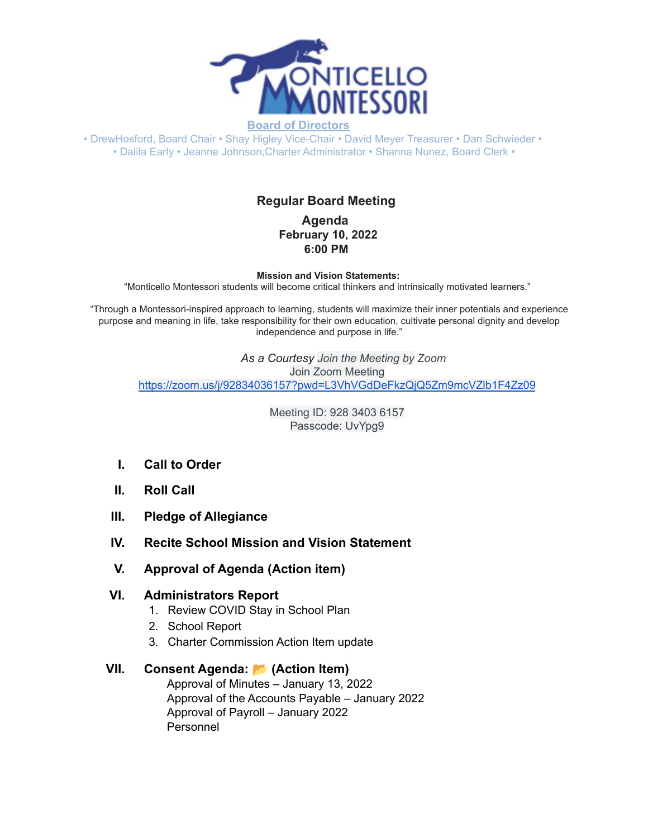

• DrewHosford, Board Chair • Shay Higley Vice-Chair • David Meyer Treasurer • Dan Schwieder • • Dalila Early • Jeanne Johnson,Charter Administrator • Shanna Nunez, Board Clerk •

# **Regular Board Meeting**

**Agenda February 10, 2022 6:00 PM**

**Mission and Vision Statements:**

"Monticello Montessori students will become critical thinkers and intrinsically motivated learners."

"Through a Montessori-inspired approach to learning, students will maximize their inner potentials and experience purpose and meaning in life, take responsibility for their own education, cultivate personal dignity and develop independence and purpose in life."

*As a Courtesy Join the Meeting by Zoom* Join Zoom Meeting <https://zoom.us/j/92834036157?pwd=L3VhVGdDeFkzQjQ5Zm9mcVZlb1F4Zz09>

> Meeting ID: 928 3403 6157 Passcode: UvYpg9

- **I. Call to Order**
- **II. Roll Call**
- **III. Pledge of Allegiance**
- **IV. Recite School Mission and Vision Statement**
- **V. Approval of Agenda (Action item)**

#### **VI. Administrators Report**

- 1. Review COVID Stay in School Plan
- 2. School Report
- 3. Charter Commission Action Item update

### **VII. Consent Agenda: (Action Item)**

Approval of Minutes – January 13, 2022 Approval of the Accounts Payable – January 2022 Approval of Payroll – January 2022 Personnel